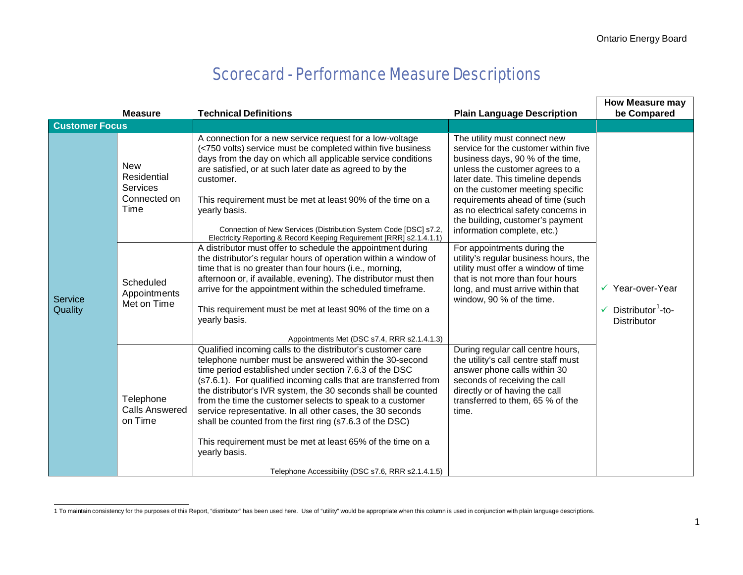## Scorecard - Performance Measure Descriptions

|                       |                                                               |                                                                                                                                                                                                                                                                                                                                                                                                                                                                                                                                                                                                                                                                                                 |                                                                                                                                                                                                                                                                                                                                                                    | <b>How Measure may</b>                                                       |
|-----------------------|---------------------------------------------------------------|-------------------------------------------------------------------------------------------------------------------------------------------------------------------------------------------------------------------------------------------------------------------------------------------------------------------------------------------------------------------------------------------------------------------------------------------------------------------------------------------------------------------------------------------------------------------------------------------------------------------------------------------------------------------------------------------------|--------------------------------------------------------------------------------------------------------------------------------------------------------------------------------------------------------------------------------------------------------------------------------------------------------------------------------------------------------------------|------------------------------------------------------------------------------|
|                       | <b>Measure</b>                                                | <b>Technical Definitions</b>                                                                                                                                                                                                                                                                                                                                                                                                                                                                                                                                                                                                                                                                    | <b>Plain Language Description</b>                                                                                                                                                                                                                                                                                                                                  | be Compared                                                                  |
| <b>Customer Focus</b> |                                                               |                                                                                                                                                                                                                                                                                                                                                                                                                                                                                                                                                                                                                                                                                                 |                                                                                                                                                                                                                                                                                                                                                                    |                                                                              |
| Service<br>Quality    | <b>New</b><br>Residential<br>Services<br>Connected on<br>Time | A connection for a new service request for a low-voltage<br>(<750 volts) service must be completed within five business<br>days from the day on which all applicable service conditions<br>are satisfied, or at such later date as agreed to by the<br>customer.<br>This requirement must be met at least 90% of the time on a<br>yearly basis.<br>Connection of New Services (Distribution System Code [DSC] s7.2,<br>Electricity Reporting & Record Keeping Requirement [RRR] s2.1.4.1.1)                                                                                                                                                                                                     | The utility must connect new<br>service for the customer within five<br>business days, 90 % of the time,<br>unless the customer agrees to a<br>later date. This timeline depends<br>on the customer meeting specific<br>requirements ahead of time (such<br>as no electrical safety concerns in<br>the building, customer's payment<br>information complete, etc.) | ✓ Year-over-Year<br>Distributor <sup>1</sup> -to-<br>✓<br><b>Distributor</b> |
|                       | Scheduled<br>Appointments<br>Met on Time                      | A distributor must offer to schedule the appointment during<br>the distributor's regular hours of operation within a window of<br>time that is no greater than four hours (i.e., morning,<br>afternoon or, if available, evening). The distributor must then<br>arrive for the appointment within the scheduled timeframe.<br>This requirement must be met at least 90% of the time on a<br>yearly basis.                                                                                                                                                                                                                                                                                       | For appointments during the<br>utility's regular business hours, the<br>utility must offer a window of time<br>that is not more than four hours<br>long, and must arrive within that<br>window, 90 % of the time.                                                                                                                                                  |                                                                              |
|                       | Telephone<br><b>Calls Answered</b><br>on Time                 | Appointments Met (DSC s7.4, RRR s2.1.4.1.3)<br>Qualified incoming calls to the distributor's customer care<br>telephone number must be answered within the 30-second<br>time period established under section 7.6.3 of the DSC<br>(s7.6.1). For qualified incoming calls that are transferred from<br>the distributor's IVR system, the 30 seconds shall be counted<br>from the time the customer selects to speak to a customer<br>service representative. In all other cases, the 30 seconds<br>shall be counted from the first ring (s7.6.3 of the DSC)<br>This requirement must be met at least 65% of the time on a<br>yearly basis.<br>Telephone Accessibility (DSC s7.6, RRR s2.1.4.1.5) | During regular call centre hours,<br>the utility's call centre staff must<br>answer phone calls within 30<br>seconds of receiving the call<br>directly or of having the call<br>transferred to them, 65 % of the<br>time.                                                                                                                                          |                                                                              |

<sup>1</sup> To maintain consistency for the purposes of this Report, "distributor" has been used here. Use of "utility" would be appropriate when this column is used in conjunction with plain language descriptions.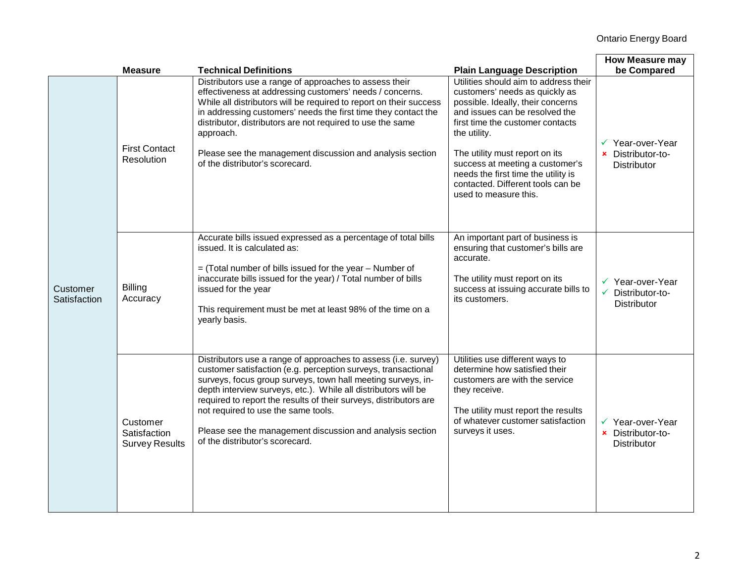|                          | <b>Measure</b>                                    | <b>Technical Definitions</b>                                                                                                                                                                                                                                                                                                                                                                                                                                                  | <b>Plain Language Description</b>                                                                                                                                                                                                                                                                                                                                            | <b>How Measure may</b><br>be Compared                                  |
|--------------------------|---------------------------------------------------|-------------------------------------------------------------------------------------------------------------------------------------------------------------------------------------------------------------------------------------------------------------------------------------------------------------------------------------------------------------------------------------------------------------------------------------------------------------------------------|------------------------------------------------------------------------------------------------------------------------------------------------------------------------------------------------------------------------------------------------------------------------------------------------------------------------------------------------------------------------------|------------------------------------------------------------------------|
| Customer<br>Satisfaction | <b>First Contact</b><br>Resolution                | Distributors use a range of approaches to assess their<br>effectiveness at addressing customers' needs / concerns.<br>While all distributors will be required to report on their success<br>in addressing customers' needs the first time they contact the<br>distributor, distributors are not required to use the same<br>approach.<br>Please see the management discussion and analysis section<br>of the distributor's scorecard.                                         | Utilities should aim to address their<br>customers' needs as quickly as<br>possible. Ideally, their concerns<br>and issues can be resolved the<br>first time the customer contacts<br>the utility.<br>The utility must report on its<br>success at meeting a customer's<br>needs the first time the utility is<br>contacted. Different tools can be<br>used to measure this. | ✔ Year-over-Year<br>× Distributor-to-<br><b>Distributor</b>            |
|                          | <b>Billing</b><br>Accuracy                        | Accurate bills issued expressed as a percentage of total bills<br>issued. It is calculated as:<br>$=$ (Total number of bills issued for the year $-$ Number of<br>inaccurate bills issued for the year) / Total number of bills<br>issued for the year<br>This requirement must be met at least 98% of the time on a<br>yearly basis.                                                                                                                                         | An important part of business is<br>ensuring that customer's bills are<br>accurate.<br>The utility must report on its<br>success at issuing accurate bills to<br>its customers.                                                                                                                                                                                              | ✔ Year-over-Year<br>$\checkmark$ Distributor-to-<br><b>Distributor</b> |
|                          | Customer<br>Satisfaction<br><b>Survey Results</b> | Distributors use a range of approaches to assess (i.e. survey)<br>customer satisfaction (e.g. perception surveys, transactional<br>surveys, focus group surveys, town hall meeting surveys, in-<br>depth interview surveys, etc.). While all distributors will be<br>required to report the results of their surveys, distributors are<br>not required to use the same tools.<br>Please see the management discussion and analysis section<br>of the distributor's scorecard. | Utilities use different ways to<br>determine how satisfied their<br>customers are with the service<br>they receive.<br>The utility must report the results<br>of whatever customer satisfaction<br>surveys it uses.                                                                                                                                                          | ✔ Year-over-Year<br>× Distributor-to-<br><b>Distributor</b>            |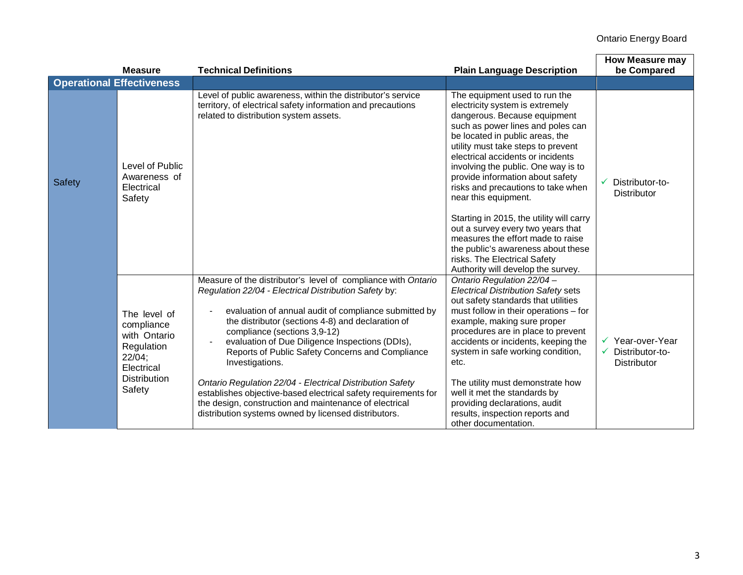## Ontario Energy Board

|               | <b>Measure</b>                                                                                                       | <b>Technical Definitions</b>                                                                                                                                                                                                                                                                                                                                                                                                                                                                                                                                                                                                                    | <b>Plain Language Description</b>                                                                                                                                                                                                                                                                                                                                                                                                                                                                                                                                                                                              | <b>How Measure may</b><br>be Compared                        |
|---------------|----------------------------------------------------------------------------------------------------------------------|-------------------------------------------------------------------------------------------------------------------------------------------------------------------------------------------------------------------------------------------------------------------------------------------------------------------------------------------------------------------------------------------------------------------------------------------------------------------------------------------------------------------------------------------------------------------------------------------------------------------------------------------------|--------------------------------------------------------------------------------------------------------------------------------------------------------------------------------------------------------------------------------------------------------------------------------------------------------------------------------------------------------------------------------------------------------------------------------------------------------------------------------------------------------------------------------------------------------------------------------------------------------------------------------|--------------------------------------------------------------|
|               | <b>Operational Effectiveness</b>                                                                                     |                                                                                                                                                                                                                                                                                                                                                                                                                                                                                                                                                                                                                                                 |                                                                                                                                                                                                                                                                                                                                                                                                                                                                                                                                                                                                                                |                                                              |
| <b>Safety</b> | Level of Public<br>Awareness of<br>Electrical<br>Safety                                                              | Level of public awareness, within the distributor's service<br>territory, of electrical safety information and precautions<br>related to distribution system assets.                                                                                                                                                                                                                                                                                                                                                                                                                                                                            | The equipment used to run the<br>electricity system is extremely<br>dangerous. Because equipment<br>such as power lines and poles can<br>be located in public areas, the<br>utility must take steps to prevent<br>electrical accidents or incidents<br>involving the public. One way is to<br>provide information about safety<br>risks and precautions to take when<br>near this equipment.<br>Starting in 2015, the utility will carry<br>out a survey every two years that<br>measures the effort made to raise<br>the public's awareness about these<br>risks. The Electrical Safety<br>Authority will develop the survey. | Distributor-to-<br>✓<br><b>Distributor</b>                   |
|               | The level of<br>compliance<br>with Ontario<br>Regulation<br>$22/04$ ;<br>Electrical<br><b>Distribution</b><br>Safety | Measure of the distributor's level of compliance with Ontario<br>Regulation 22/04 - Electrical Distribution Safety by:<br>evaluation of annual audit of compliance submitted by<br>the distributor (sections 4-8) and declaration of<br>compliance (sections 3,9-12)<br>evaluation of Due Diligence Inspections (DDIs),<br>Reports of Public Safety Concerns and Compliance<br>Investigations.<br>Ontario Regulation 22/04 - Electrical Distribution Safety<br>establishes objective-based electrical safety requirements for<br>the design, construction and maintenance of electrical<br>distribution systems owned by licensed distributors. | Ontario Regulation 22/04 -<br><b>Electrical Distribution Safety sets</b><br>out safety standards that utilities<br>must follow in their operations - for<br>example, making sure proper<br>procedures are in place to prevent<br>accidents or incidents, keeping the<br>system in safe working condition,<br>etc.<br>The utility must demonstrate how<br>well it met the standards by<br>providing declarations, audit<br>results, inspection reports and<br>other documentation.                                                                                                                                              | Year-over-Year<br>Distributor-to-<br>✓<br><b>Distributor</b> |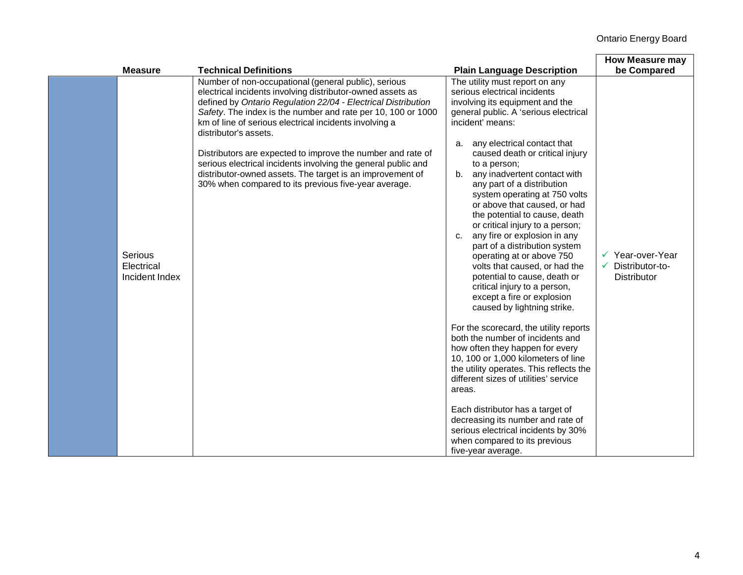| <b>Measure</b>        |                | <b>Technical Definitions</b>                                                                                                                                                                                                                                                                                                                                                                                                                                                                                                                                                                | <b>Plain Language Description</b>                                                                                                                                                                                                                                                                                                                                                                                                                                                                                                                                                                                                                                                                                                                                                                                                                                                                                                                                                                                                                                                                                                                           | <b>How Measure may</b><br>be Compared                                                |
|-----------------------|----------------|---------------------------------------------------------------------------------------------------------------------------------------------------------------------------------------------------------------------------------------------------------------------------------------------------------------------------------------------------------------------------------------------------------------------------------------------------------------------------------------------------------------------------------------------------------------------------------------------|-------------------------------------------------------------------------------------------------------------------------------------------------------------------------------------------------------------------------------------------------------------------------------------------------------------------------------------------------------------------------------------------------------------------------------------------------------------------------------------------------------------------------------------------------------------------------------------------------------------------------------------------------------------------------------------------------------------------------------------------------------------------------------------------------------------------------------------------------------------------------------------------------------------------------------------------------------------------------------------------------------------------------------------------------------------------------------------------------------------------------------------------------------------|--------------------------------------------------------------------------------------|
| Serious<br>Electrical | Incident Index | Number of non-occupational (general public), serious<br>electrical incidents involving distributor-owned assets as<br>defined by Ontario Regulation 22/04 - Electrical Distribution<br>Safety. The index is the number and rate per 10, 100 or 1000<br>km of line of serious electrical incidents involving a<br>distributor's assets.<br>Distributors are expected to improve the number and rate of<br>serious electrical incidents involving the general public and<br>distributor-owned assets. The target is an improvement of<br>30% when compared to its previous five-year average. | The utility must report on any<br>serious electrical incidents<br>involving its equipment and the<br>general public. A 'serious electrical<br>incident' means:<br>any electrical contact that<br>a.<br>caused death or critical injury<br>to a person;<br>any inadvertent contact with<br>b.<br>any part of a distribution<br>system operating at 750 volts<br>or above that caused, or had<br>the potential to cause, death<br>or critical injury to a person;<br>c. any fire or explosion in any<br>part of a distribution system<br>operating at or above 750<br>volts that caused, or had the<br>potential to cause, death or<br>critical injury to a person,<br>except a fire or explosion<br>caused by lightning strike.<br>For the scorecard, the utility reports<br>both the number of incidents and<br>how often they happen for every<br>10, 100 or 1,000 kilometers of line<br>the utility operates. This reflects the<br>different sizes of utilities' service<br>areas.<br>Each distributor has a target of<br>decreasing its number and rate of<br>serious electrical incidents by 30%<br>when compared to its previous<br>five-year average. | $\checkmark$ Year-over-Year<br>Distributor-to-<br>$\checkmark$<br><b>Distributor</b> |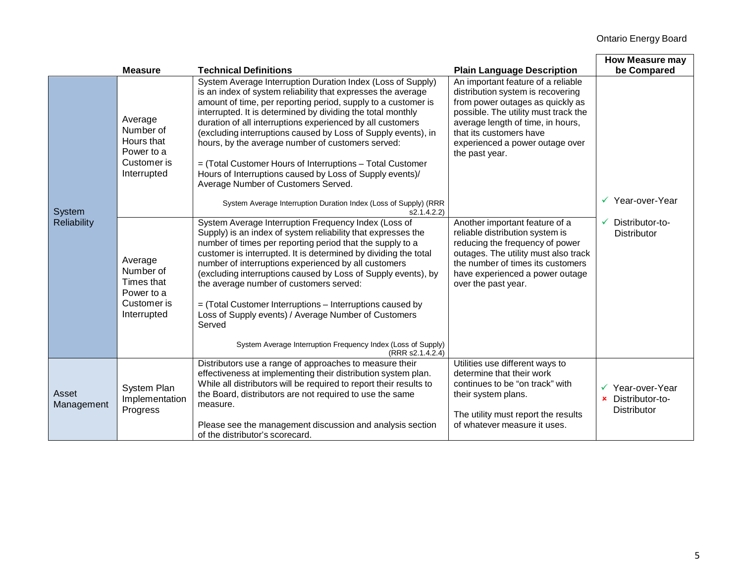|                              | <b>Measure</b>                                                                 | <b>Technical Definitions</b>                                                                                                                                                                                                                                                                                                                                                                                                                                                                                                                                                                                                                                                                       | <b>Plain Language Description</b>                                                                                                                                                                                                                                        | <b>How Measure may</b>                                                 |
|------------------------------|--------------------------------------------------------------------------------|----------------------------------------------------------------------------------------------------------------------------------------------------------------------------------------------------------------------------------------------------------------------------------------------------------------------------------------------------------------------------------------------------------------------------------------------------------------------------------------------------------------------------------------------------------------------------------------------------------------------------------------------------------------------------------------------------|--------------------------------------------------------------------------------------------------------------------------------------------------------------------------------------------------------------------------------------------------------------------------|------------------------------------------------------------------------|
| System<br><b>Reliability</b> | Average<br>Number of<br>Hours that<br>Power to a<br>Customer is<br>Interrupted | System Average Interruption Duration Index (Loss of Supply)<br>is an index of system reliability that expresses the average<br>amount of time, per reporting period, supply to a customer is<br>interrupted. It is determined by dividing the total monthly<br>duration of all interruptions experienced by all customers<br>(excluding interruptions caused by Loss of Supply events), in<br>hours, by the average number of customers served:<br>= (Total Customer Hours of Interruptions - Total Customer<br>Hours of Interruptions caused by Loss of Supply events)/<br>Average Number of Customers Served.<br>System Average Interruption Duration Index (Loss of Supply) (RRR<br>s2.1.4.2.2) | An important feature of a reliable<br>distribution system is recovering<br>from power outages as quickly as<br>possible. The utility must track the<br>average length of time, in hours,<br>that its customers have<br>experienced a power outage over<br>the past year. | be Compared<br>$\checkmark$ Year-over-Year                             |
|                              | Average<br>Number of<br>Times that<br>Power to a<br>Customer is<br>Interrupted | System Average Interruption Frequency Index (Loss of<br>Supply) is an index of system reliability that expresses the<br>number of times per reporting period that the supply to a<br>customer is interrupted. It is determined by dividing the total<br>number of interruptions experienced by all customers<br>(excluding interruptions caused by Loss of Supply events), by<br>the average number of customers served:<br>= (Total Customer Interruptions - Interruptions caused by<br>Loss of Supply events) / Average Number of Customers<br>Served<br>System Average Interruption Frequency Index (Loss of Supply)<br>(RRR s2.1.4.2.4)                                                        | Another important feature of a<br>reliable distribution system is<br>reducing the frequency of power<br>outages. The utility must also track<br>the number of times its customers<br>have experienced a power outage<br>over the past year.                              | Distributor-to-<br><b>Distributor</b>                                  |
| Asset<br>Management          | System Plan<br>Implementation<br>Progress                                      | Distributors use a range of approaches to measure their<br>effectiveness at implementing their distribution system plan.<br>While all distributors will be required to report their results to<br>the Board, distributors are not required to use the same<br>measure.<br>Please see the management discussion and analysis section<br>of the distributor's scorecard.                                                                                                                                                                                                                                                                                                                             | Utilities use different ways to<br>determine that their work<br>continues to be "on track" with<br>their system plans.<br>The utility must report the results<br>of whatever measure it uses.                                                                            | Year-over-Year<br>Distributor-to-<br>$\mathbf x$<br><b>Distributor</b> |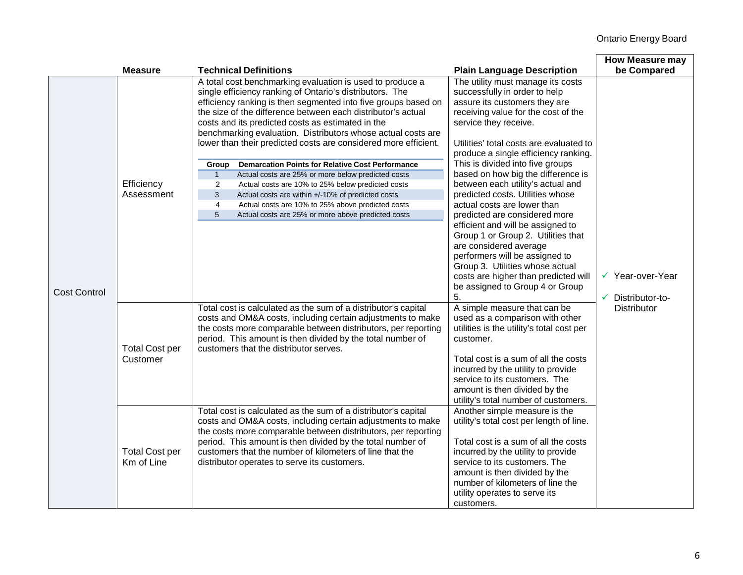|                     |                                     |                                                                                                                                                                                                                                                                                                                                                                                                                                                 |                                                                                                                                                                                                                                                                                                                   | <b>How Measure may</b>                |
|---------------------|-------------------------------------|-------------------------------------------------------------------------------------------------------------------------------------------------------------------------------------------------------------------------------------------------------------------------------------------------------------------------------------------------------------------------------------------------------------------------------------------------|-------------------------------------------------------------------------------------------------------------------------------------------------------------------------------------------------------------------------------------------------------------------------------------------------------------------|---------------------------------------|
|                     | <b>Measure</b>                      | <b>Technical Definitions</b>                                                                                                                                                                                                                                                                                                                                                                                                                    | <b>Plain Language Description</b>                                                                                                                                                                                                                                                                                 | be Compared                           |
|                     |                                     | A total cost benchmarking evaluation is used to produce a<br>single efficiency ranking of Ontario's distributors. The<br>efficiency ranking is then segmented into five groups based on<br>the size of the difference between each distributor's actual<br>costs and its predicted costs as estimated in the<br>benchmarking evaluation. Distributors whose actual costs are<br>lower than their predicted costs are considered more efficient. | The utility must manage its costs<br>successfully in order to help<br>assure its customers they are<br>receiving value for the cost of the<br>service they receive.<br>Utilities' total costs are evaluated to<br>produce a single efficiency ranking.                                                            |                                       |
|                     |                                     | <b>Demarcation Points for Relative Cost Performance</b><br>Group                                                                                                                                                                                                                                                                                                                                                                                | This is divided into five groups                                                                                                                                                                                                                                                                                  |                                       |
|                     |                                     | Actual costs are 25% or more below predicted costs<br>$\mathbf{1}$                                                                                                                                                                                                                                                                                                                                                                              | based on how big the difference is                                                                                                                                                                                                                                                                                |                                       |
|                     | Efficiency                          | $\overline{2}$<br>Actual costs are 10% to 25% below predicted costs                                                                                                                                                                                                                                                                                                                                                                             | between each utility's actual and                                                                                                                                                                                                                                                                                 |                                       |
|                     | Assessment                          | 3<br>Actual costs are within +/-10% of predicted costs                                                                                                                                                                                                                                                                                                                                                                                          | predicted costs. Utilities whose                                                                                                                                                                                                                                                                                  |                                       |
|                     |                                     | $\overline{4}$<br>Actual costs are 10% to 25% above predicted costs                                                                                                                                                                                                                                                                                                                                                                             | actual costs are lower than                                                                                                                                                                                                                                                                                       |                                       |
|                     |                                     | 5<br>Actual costs are 25% or more above predicted costs                                                                                                                                                                                                                                                                                                                                                                                         | predicted are considered more                                                                                                                                                                                                                                                                                     |                                       |
| <b>Cost Control</b> |                                     |                                                                                                                                                                                                                                                                                                                                                                                                                                                 | efficient and will be assigned to<br>Group 1 or Group 2. Utilities that<br>are considered average<br>performers will be assigned to<br>Group 3. Utilities whose actual<br>costs are higher than predicted will<br>be assigned to Group 4 or Group<br>5.                                                           | ✔ Year-over-Year<br>✔ Distributor-to- |
|                     | <b>Total Cost per</b><br>Customer   | Total cost is calculated as the sum of a distributor's capital<br>costs and OM&A costs, including certain adjustments to make<br>the costs more comparable between distributors, per reporting<br>period. This amount is then divided by the total number of<br>customers that the distributor serves.                                                                                                                                          | A simple measure that can be<br>used as a comparison with other<br>utilities is the utility's total cost per<br>customer.<br>Total cost is a sum of all the costs<br>incurred by the utility to provide<br>service to its customers. The<br>amount is then divided by the<br>utility's total number of customers. | <b>Distributor</b>                    |
|                     | <b>Total Cost per</b><br>Km of Line | Total cost is calculated as the sum of a distributor's capital<br>costs and OM&A costs, including certain adjustments to make<br>the costs more comparable between distributors, per reporting<br>period. This amount is then divided by the total number of<br>customers that the number of kilometers of line that the<br>distributor operates to serve its customers.                                                                        | Another simple measure is the<br>utility's total cost per length of line.<br>Total cost is a sum of all the costs<br>incurred by the utility to provide<br>service to its customers. The<br>amount is then divided by the<br>number of kilometers of line the<br>utility operates to serve its<br>customers.      |                                       |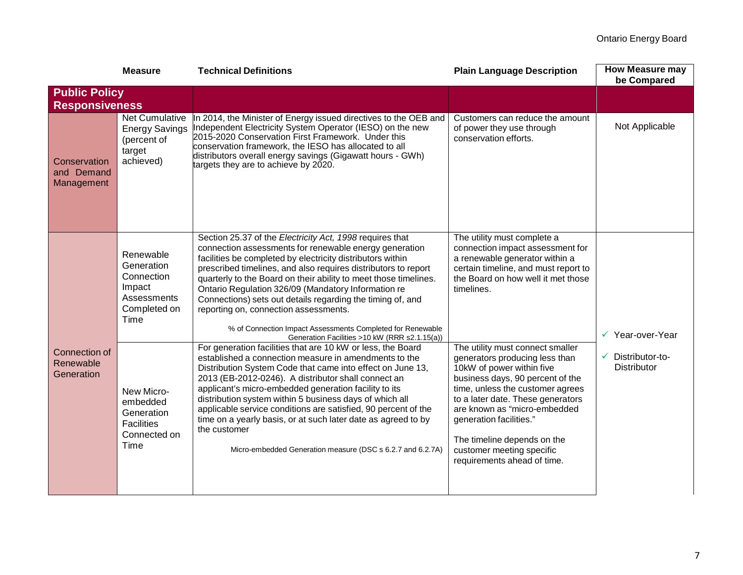|                                                 | <b>Measure</b>                                                                         | <b>Technical Definitions</b>                                                                                                                                                                                                                                                                                                                                                                                                                                                                                                                                                                        | <b>Plain Language Description</b>                                                                                                                                                                                                                                                                                                                                  | <b>How Measure may</b><br>be Compared      |  |  |
|-------------------------------------------------|----------------------------------------------------------------------------------------|-----------------------------------------------------------------------------------------------------------------------------------------------------------------------------------------------------------------------------------------------------------------------------------------------------------------------------------------------------------------------------------------------------------------------------------------------------------------------------------------------------------------------------------------------------------------------------------------------------|--------------------------------------------------------------------------------------------------------------------------------------------------------------------------------------------------------------------------------------------------------------------------------------------------------------------------------------------------------------------|--------------------------------------------|--|--|
| <b>Public Policy</b>                            |                                                                                        |                                                                                                                                                                                                                                                                                                                                                                                                                                                                                                                                                                                                     |                                                                                                                                                                                                                                                                                                                                                                    |                                            |  |  |
| <b>Responsiveness</b>                           |                                                                                        |                                                                                                                                                                                                                                                                                                                                                                                                                                                                                                                                                                                                     |                                                                                                                                                                                                                                                                                                                                                                    |                                            |  |  |
| Conservation<br>and Demand<br>Management        | Net Cumulative<br><b>Energy Savings</b><br>(percent of<br>target<br>achieved)          | In 2014, the Minister of Energy issued directives to the OEB and<br>Independent Electricity System Operator (IESO) on the new<br>2015-2020 Conservation First Framework. Under this<br>conservation framework, the IESO has allocated to all<br>distributors overall energy savings (Gigawatt hours - GWh)<br>targets they are to achieve by 2020.                                                                                                                                                                                                                                                  | Customers can reduce the amount<br>of power they use through<br>conservation efforts.                                                                                                                                                                                                                                                                              | Not Applicable                             |  |  |
|                                                 | Renewable<br>Generation<br>Connection<br>Impact<br>Assessments<br>Completed on<br>Time | Section 25.37 of the Electricity Act, 1998 requires that<br>connection assessments for renewable energy generation<br>facilities be completed by electricity distributors within<br>prescribed timelines, and also requires distributors to report<br>quarterly to the Board on their ability to meet those timelines.<br>Ontario Regulation 326/09 (Mandatory Information re<br>Connections) sets out details regarding the timing of, and<br>reporting on, connection assessments.<br>% of Connection Impact Assessments Completed for Renewable<br>Generation Facilities >10 kW (RRR s2.1.15(a)) | The utility must complete a<br>connection impact assessment for<br>a renewable generator within a<br>certain timeline, and must report to<br>the Board on how well it met those<br>timelines.                                                                                                                                                                      | √ Year-over-Year                           |  |  |
| <b>Connection of</b><br>Renewable<br>Generation | New Micro-<br>embedded<br>Generation<br><b>Facilities</b><br>Connected on<br>Time      | For generation facilities that are 10 kW or less, the Board<br>established a connection measure in amendments to the<br>Distribution System Code that came into effect on June 13,<br>2013 (EB-2012-0246). A distributor shall connect an<br>applicant's micro-embedded generation facility to its<br>distribution system within 5 business days of which all<br>applicable service conditions are satisfied, 90 percent of the<br>time on a yearly basis, or at such later date as agreed to by<br>the customer<br>Micro-embedded Generation measure (DSC s 6.2.7 and 6.2.7A)                      | The utility must connect smaller<br>generators producing less than<br>10kW of power within five<br>business days, 90 percent of the<br>time, unless the customer agrees<br>to a later date. These generators<br>are known as "micro-embedded<br>generation facilities."<br>The timeline depends on the<br>customer meeting specific<br>requirements ahead of time. | Distributor-to-<br>✓<br><b>Distributor</b> |  |  |